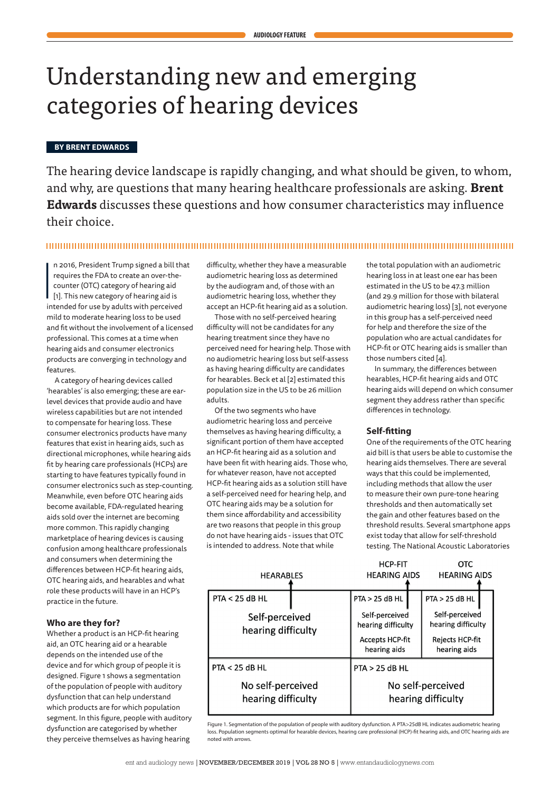# Understanding new and emerging categories of hearing devices

#### **BY BRENT EDWARDS**

The hearing device landscape is rapidly changing, and what should be given, to whom, and why, are questions that many hearing healthcare professionals are asking. **Brent Edwards** discusses these questions and how consumer characteristics may influence their choice.

#### 

 $\frac{1}{2}$ n 2016, President Trump signed a bill that requires the FDA to create an over-thecounter (OTC) category of hearing aid [1]. This new category of hearing aid is intended for use by adults with perceived mild to moderate hearing loss to be used and fit without the involvement of a licensed professional. This comes at a time when hearing aids and consumer electronics products are converging in technology and features.

A category of hearing devices called 'hearables' is also emerging; these are earlevel devices that provide audio and have wireless capabilities but are not intended to compensate for hearing loss. These consumer electronics products have many features that exist in hearing aids, such as directional microphones, while hearing aids fit by hearing care professionals (HCPs) are starting to have features typically found in consumer electronics such as step-counting. Meanwhile, even before OTC hearing aids become available, FDA-regulated hearing aids sold over the internet are becoming more common. This rapidly changing marketplace of hearing devices is causing confusion among healthcare professionals and consumers when determining the differences between HCP-fit hearing aids, OTC hearing aids, and hearables and what role these products will have in an HCP's practice in the future.

# **Who are they for?**

Whether a product is an HCP-fit hearing aid, an OTC hearing aid or a hearable depends on the intended use of the device and for which group of people it is designed. Figure 1 shows a segmentation of the population of people with auditory dysfunction that can help understand which products are for which population segment. In this figure, people with auditory dysfunction are categorised by whether they perceive themselves as having hearing

difficulty, whether they have a measurable audiometric hearing loss as determined by the audiogram and, of those with an audiometric hearing loss, whether they accept an HCP-fit hearing aid as a solution.

Those with no self-perceived hearing difficulty will not be candidates for any hearing treatment since they have no perceived need for hearing help. Those with no audiometric hearing loss but self-assess as having hearing difficulty are candidates for hearables. Beck et al [2] estimated this population size in the US to be 26 million adults.

Of the two segments who have audiometric hearing loss and perceive themselves as having hearing difficulty, a significant portion of them have accepted an HCP-fit hearing aid as a solution and have been fit with hearing aids. Those who, for whatever reason, have not accepted HCP-fit hearing aids as a solution still have a self-perceived need for hearing help, and OTC hearing aids may be a solution for them since affordability and accessibility are two reasons that people in this group do not have hearing aids - issues that OTC is intended to address. Note that while

the total population with an audiometric hearing loss in at least one ear has been estimated in the US to be 47.3 million (and 29.9 million for those with bilateral audiometric hearing loss) [3], not everyone in this group has a self-perceived need for help and therefore the size of the population who are actual candidates for HCP-fit or OTC hearing aids is smaller than those numbers cited [4].

In summary, the differences between hearables, HCP-fit hearing aids and OTC hearing aids will depend on which consumer segment they address rather than specific differences in technology.

# **Self-fitting**

HCD\_EIT

One of the requirements of the OTC hearing aid bill is that users be able to customise the hearing aids themselves. There are several ways that this could be implemented, including methods that allow the user to measure their own pure-tone hearing thresholds and then automatically set the gain and other features based on the threshold results. Several smartphone apps exist today that allow for self-threshold testing. The National Acoustic Laboratories

 $\alpha$ TC

| <b>HEARABLES</b> |                                         | <b>HEARING AIDS</b> |                                                                                | <b>HEARING AIDS</b> |                                                                         |  |
|------------------|-----------------------------------------|---------------------|--------------------------------------------------------------------------------|---------------------|-------------------------------------------------------------------------|--|
|                  | <b>PTA &lt; 25 dB HL</b>                |                     | $PTA > 25$ dB HL                                                               |                     | $PTA > 25$ dB HL                                                        |  |
|                  | Self-perceived<br>hearing difficulty    |                     | Self-perceived<br>hearing difficulty<br><b>Accepts HCP-fit</b><br>hearing aids |                     | Self-perceived<br>hearing difficulty<br>Rejects HCP-fit<br>hearing aids |  |
|                  | <b>PTA &lt; 25 dB HL</b>                |                     | $PTA > 25$ dB HL                                                               |                     |                                                                         |  |
|                  | No self-perceived<br>hearing difficulty |                     | No self-perceived<br>hearing difficulty                                        |                     |                                                                         |  |

Figure 1. Segmentation of the population of people with auditory dysfunction. A PTA>25dB HL indicates audiometric hearing loss. Population segments optimal for hearable devices, hearing care professional (HCP)-fit hearing aids, and OTC hearing aids are noted with arrows.